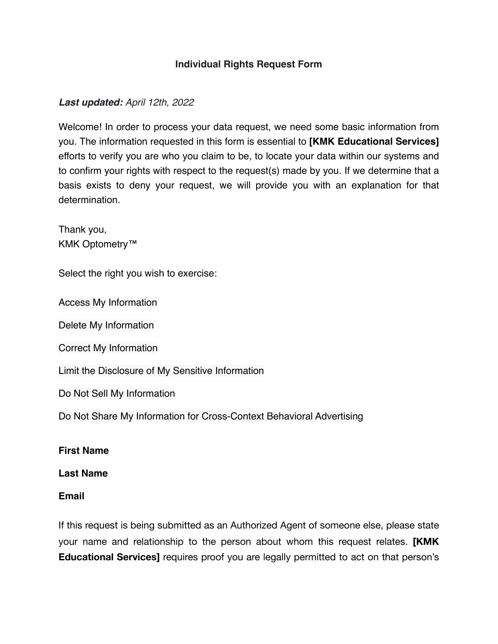# **Individual Rights Request Form**

# *Last updated: April 12th, 2022*

Welcome! In order to process your data request, we need some basic information from you. The information requested in this form is essential to **[KMK Educational Services]** efforts to verify you are who you claim to be, to locate your data within our systems and to confirm your rights with respect to the request(s) made by you. If we determine that a basis exists to deny your request, we will provide you with an explanation for that determination.

Thank you, KMK Optometry™

Select the right you wish to exercise:

Access My Information

Delete My Information

Correct My Information

Limit the Disclosure of My Sensitive Information

Do Not Sell My Information

Do Not Share My Information for Cross-Context Behavioral Advertising

### **First Name**

#### **Last Name**

### **Email**

If this request is being submitted as an Authorized Agent of someone else, please state your name and relationship to the person about whom this request relates. **[KMK Educational Services]** requires proof you are legally permitted to act on that person's